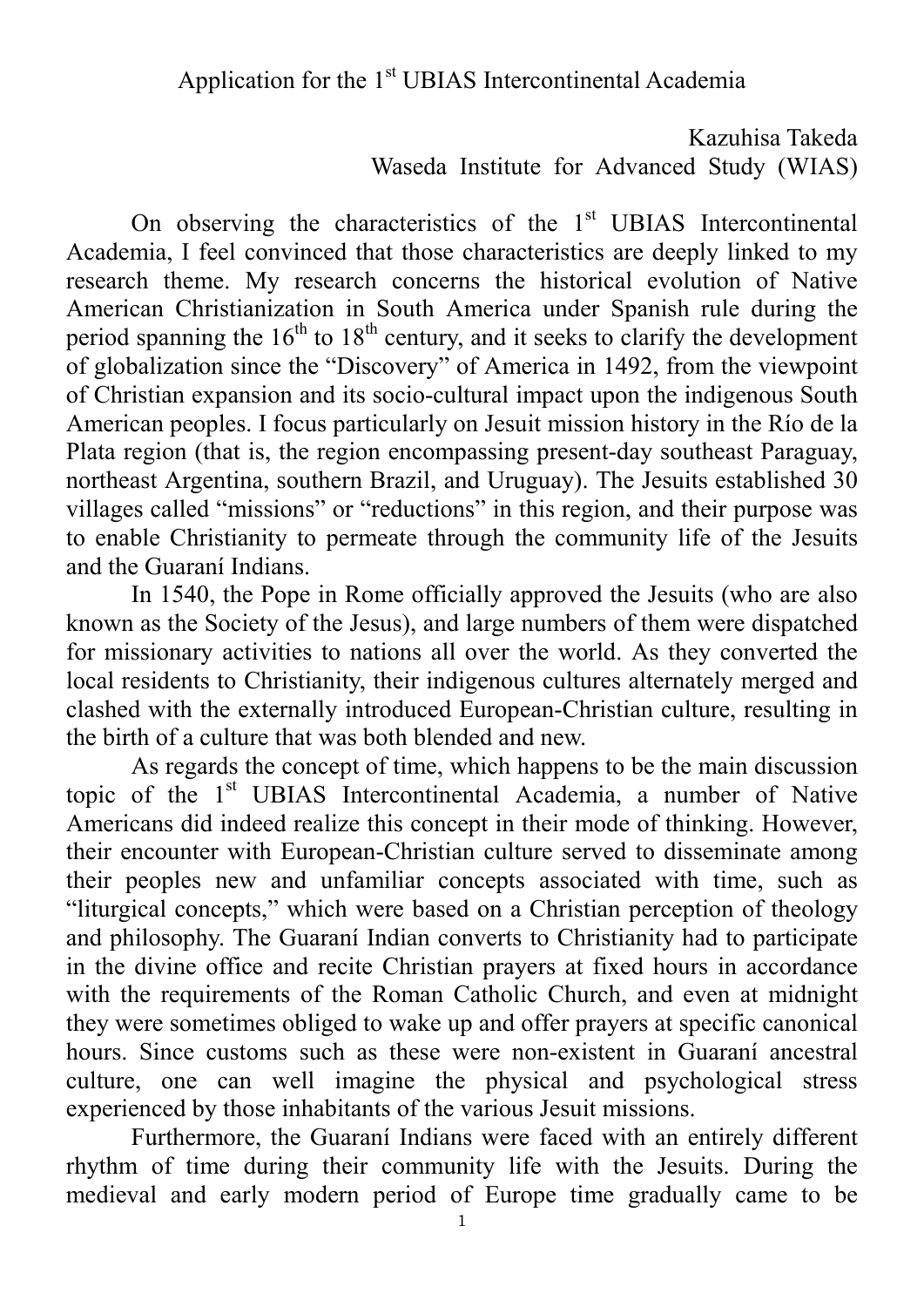Kazuhisa Takeda Waseda Institute for Advanced Study (WIAS)

On observing the characteristics of the  $1<sup>st</sup>$  UBIAS Intercontinental Academia, I feel convinced that those characteristics are deeply linked to my research theme. My research concerns the historical evolution of Native American Christianization in South America under Spanish rule during the period spanning the  $16<sup>th</sup>$  to  $18<sup>th</sup>$  century, and it seeks to clarify the development of globalization since the "Discovery" of America in 1492, from the viewpoint of Christian expansion and its socio-cultural impact upon the indigenous South American peoples. I focus particularly on Jesuit mission history in the Río de la Plata region (that is, the region encompassing present-day southeast Paraguay, northeast Argentina, southern Brazil, and Uruguay). The Jesuits established 30 villages called "missions" or "reductions" in this region, and their purpose was to enable Christianity to permeate through the community life of the Jesuits and the Guaraní Indians.

 In 1540, the Pope in Rome officially approved the Jesuits (who are also known as the Society of the Jesus), and large numbers of them were dispatched for missionary activities to nations all over the world. As they converted the local residents to Christianity, their indigenous cultures alternately merged and clashed with the externally introduced European-Christian culture, resulting in the birth of a culture that was both blended and new.

 As regards the concept of time, which happens to be the main discussion topic of the 1<sup>st</sup> UBIAS Intercontinental Academia, a number of Native Americans did indeed realize this concept in their mode of thinking. However, their encounter with European-Christian culture served to disseminate among their peoples new and unfamiliar concepts associated with time, such as "liturgical concepts," which were based on a Christian perception of theology and philosophy. The Guaraní Indian converts to Christianity had to participate in the divine office and recite Christian prayers at fixed hours in accordance with the requirements of the Roman Catholic Church, and even at midnight they were sometimes obliged to wake up and offer prayers at specific canonical hours. Since customs such as these were non-existent in Guaraní ancestral culture, one can well imagine the physical and psychological stress experienced by those inhabitants of the various Jesuit missions.

 Furthermore, the Guaraní Indians were faced with an entirely different rhythm of time during their community life with the Jesuits. During the medieval and early modern period of Europe time gradually came to be